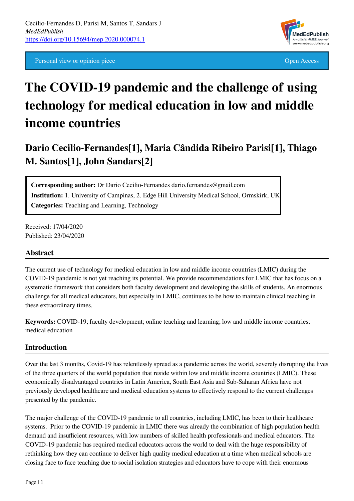Personal view or opinion piece **Open Access** Open Access **Open Access** 



# **The COVID-19 pandemic and the challenge of using technology for medical education in low and middle income countries**

# **Dario Cecilio-Fernandes[1], Maria Cândida Ribeiro Parisi[1], Thiago M. Santos[1], John Sandars[2]**

**Corresponding author:** Dr Dario Cecilio-Fernandes dario.fernandes@gmail.com **Institution:** 1. University of Campinas, 2. Edge Hill University Medical School, Ormskirk, UK **Categories:** Teaching and Learning, Technology

Received: 17/04/2020 Published: 23/04/2020

#### **Abstract**

The current use of technology for medical education in low and middle income countries (LMIC) during the COVID-19 pandemic is not yet reaching its potential. We provide recommendations for LMIC that has focus on a systematic framework that considers both faculty development and developing the skills of students. An enormous challenge for all medical educators, but especially in LMIC, continues to be how to maintain clinical teaching in these extraordinary times.

**Keywords:** COVID-19; faculty development; online teaching and learning; low and middle income countries; medical education

#### **Introduction**

Over the last 3 months, Covid-19 has relentlessly spread as a pandemic across the world, severely disrupting the lives of the three quarters of the world population that reside within low and middle income countries (LMIC). These economically disadvantaged countries in Latin America, South East Asia and Sub-Saharan Africa have not previously developed healthcare and medical education systems to effectively respond to the current challenges presented by the pandemic.

The major challenge of the COVID-19 pandemic to all countries, including LMIC, has been to their healthcare systems. Prior to the COVID-19 pandemic in LMIC there was already the combination of high population health demand and insufficient resources, with low numbers of skilled health professionals and medical educators. The COVID-19 pandemic has required medical educators across the world to deal with the huge responsibility of rethinking how they can continue to deliver high quality medical education at a time when medical schools are closing face to face teaching due to social isolation strategies and educators have to cope with their enormous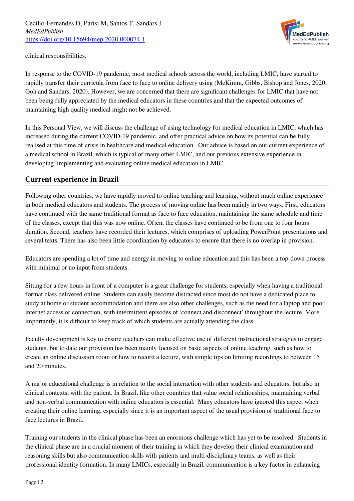

clinical responsibilities.

In response to the COVID-19 pandemic, most medical schools across the world, including LMIC, have started to rapidly transfer their curricula from face to face to online delivery using (McKimm, Gibbs, Bishop and Jones, 2020; Goh and Sandars, 2020). However, we are concerned that there are significant challenges for LMIC that have not been being fully appreciated by the medical educators in these countries and that the expected outcomes of maintaining high quality medical might not be achieved.

In this Personal View, we will discuss the challenge of using technology for medical education in LMIC, which has increased during the current COVID-19 pandemic, and offer practical advice on how its potential can be fully realised at this time of crisis in healthcare and medical education. Our advice is based on our current experience of a medical school in Brazil, which is typical of many other LMIC, and our previous extensive experience in developing, implementing and evaluating online medical education in LMIC.

# **Current experience in Brazil**

Following other countries, we have rapidly moved to online teaching and learning, without much online experience in both medical educators and students. The process of moving online has been mainly in two ways. First, educators have continued with the same traditional format as face to face education, maintaining the same schedule and time of the classes, except that this was now online. Often, the classes have continued to be from one to four hours duration. Second, teachers have recorded their lectures, which comprises of uploading PowerPoint presentations and several texts. There has also been little coordination by educators to ensure that there is no overlap in provision.

Educators are spending a lot of time and energy in moving to online education and this has been a top-down process with minimal or no input from students.

Sitting for a few hours in front of a computer is a great challenge for students, especially when having a traditional format class delivered online. Students can easily become distracted since most do not have a dedicated place to study at home or student accommodation and there are also other challenges, such as the need for a laptop and poor internet access or connection, with intermittent episodes of 'connect and disconnect' throughout the lecture. More importantly, it is difficult to keep track of which students are actually attending the class.

Faculty development is key to ensure teachers can make effective use of different instructional strategies to engage students, but to date our provision has been mainly focused on basic aspects of online teaching, such as how to create an online discussion room or how to record a lecture, with simple tips on limiting recordings to between 15 and 20 minutes.

A major educational challenge is in relation to the social interaction with other students and educators, but also in clinical contexts, with the patient. In Brazil, like other countries that value social relationships, maintaining verbal and non-verbal communication with online education is essential. Many educators have ignored this aspect when creating their online learning, especially since it is an important aspect of the usual provision of traditional face to face lectures in Brazil.

Training our students in the clinical phase has been an enormous challenge which has yet to be resolved. Students in the clinical phase are in a crucial moment of their training in which they develop their clinical examination and reasoning skills but also communication skills with patients and multi-disciplinary teams, as well as their professional identity formation. In many LMICs, especially in Brazil, communication is a key factor in enhancing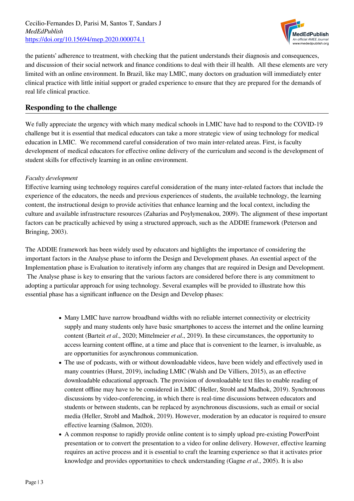Cecilio-Fernandes D, Parisi M, Santos T, Sandars J *MedEdPublish* <https://doi.org/10.15694/mep.2020.000074.1>



the patients' adherence to treatment, with checking that the patient understands their diagnosis and consequences, and discussion of their social network and finance conditions to deal with their ill health. All these elements are very limited with an online environment. In Brazil, like may LMIC, many doctors on graduation will immediately enter clinical practice with little initial support or graded experience to ensure that they are prepared for the demands of real life clinical practice.

#### **Responding to the challenge**

We fully appreciate the urgency with which many medical schools in LMIC have had to respond to the COVID-19 challenge but it is essential that medical educators can take a more strategic view of using technology for medical education in LMIC. We recommend careful consideration of two main inter-related areas. First, is faculty development of medical educators for effective online delivery of the curriculum and second is the development of student skills for effectively learning in an online environment.

#### *Faculty development*

Effective learning using technology requires careful consideration of the many inter-related factors that include the experience of the educators, the needs and previous experiences of students, the available technology, the learning content, the instructional design to provide activities that enhance learning and the local context, including the culture and available infrastructure resources (Zaharias and Poylymenakou, 2009). The alignment of these important factors can be practically achieved by using a structured approach, such as the ADDIE framework (Peterson and Bringing, 2003).

The ADDIE framework has been widely used by educators and highlights the importance of considering the important factors in the Analyse phase to inform the Design and Development phases. An essential aspect of the Implementation phase is Evaluation to iteratively inform any changes that are required in Design and Development. The Analyse phase is key to ensuring that the various factors are considered before there is any commitment to adopting a particular approach for using technology. Several examples will be provided to illustrate how this essential phase has a significant influence on the Design and Develop phases:

- Many LMIC have narrow broadband widths with no reliable internet connectivity or electricity supply and many students only have basic smartphones to access the internet and the online learning content (Barteit *et al*., 2020; Mittelmeier *et al*., 2019). In these circumstances, the opportunity to access learning content offline, at a time and place that is convenient to the learner, is invaluable, as are opportunities for asynchronous communication.
- The use of podcasts, with or without downloadable videos, have been widely and effectively used in many countries (Hurst, 2019), including LMIC (Walsh and De Villiers, 2015), as an effective downloadable educational approach. The provision of downloadable text files to enable reading of content offline may have to be considered in LMIC (Heller, Strobl and Madhok, 2019). Synchronous discussions by video-conferencing, in which there is real-time discussions between educators and students or between students, can be replaced by asynchronous discussions, such as email or social media (Heller, Strobl and Madhok, 2019). However, moderation by an educator is required to ensure effective learning (Salmon, 2020).
- A common response to rapidly provide online content is to simply upload pre-existing PowerPoint presentation or to convert the presentation to a video for online delivery. However, effective learning requires an active process and it is essential to craft the learning experience so that it activates prior knowledge and provides opportunities to check understanding (Gagne *et al*., 2005). It is also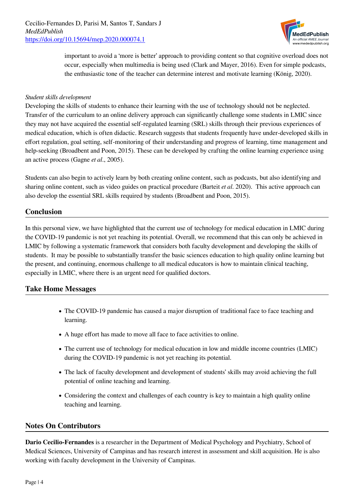

important to avoid a 'more is better' approach to providing content so that cognitive overload does not occur, especially when multimedia is being used (Clark and Mayer, 2016). Even for simple podcasts, the enthusiastic tone of the teacher can determine interest and motivate learning (König, 2020).

#### *Student skills development*

Developing the skills of students to enhance their learning with the use of technology should not be neglected. Transfer of the curriculum to an online delivery approach can significantly challenge some students in LMIC since they may not have acquired the essential self-regulated learning (SRL) skills through their previous experiences of medical education, which is often didactic. Research suggests that students frequently have under-developed skills in effort regulation, goal setting, self-monitoring of their understanding and progress of learning, time management and help-seeking (Broadbent and Poon, 2015). These can be developed by crafting the online learning experience using an active process (Gagne *et al*., 2005).

Students can also begin to actively learn by both creating online content, such as podcasts, but also identifying and sharing online content, such as video guides on practical procedure (Barteit *et al*. 2020). This active approach can also develop the essential SRL skills required by students (Broadbent and Poon, 2015).

#### **Conclusion**

In this personal view, we have highlighted that the current use of technology for medical education in LMIC during the COVID-19 pandemic is not yet reaching its potential. Overall, we recommend that this can only be achieved in LMIC by following a systematic framework that considers both faculty development and developing the skills of students. It may be possible to substantially transfer the basic sciences education to high quality online learning but the present, and continuing, enormous challenge to all medical educators is how to maintain clinical teaching, especially in LMIC, where there is an urgent need for qualified doctors.

#### **Take Home Messages**

- The COVID-19 pandemic has caused a major disruption of traditional face to face teaching and learning.
- A huge effort has made to move all face to face activities to online.
- The current use of technology for medical education in low and middle income countries (LMIC) during the COVID-19 pandemic is not yet reaching its potential.
- The lack of faculty development and development of students' skills may avoid achieving the full potential of online teaching and learning.
- Considering the context and challenges of each country is key to maintain a high quality online teaching and learning.

#### **Notes On Contributors**

**Dario Cecilio-Fernandes** is a researcher in the Department of Medical Psychology and Psychiatry, School of Medical Sciences, University of Campinas and has research interest in assessment and skill acquisition. He is also working with faculty development in the University of Campinas.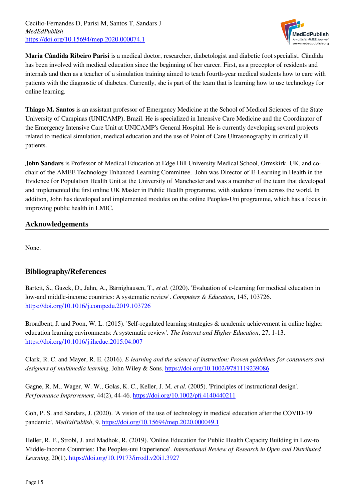Cecilio-Fernandes D, Parisi M, Santos T, Sandars J *MedEdPublish* <https://doi.org/10.15694/mep.2020.000074.1>



**Maria Cândida Ribeiro Parisi** is a medical doctor, researcher, diabetologist and diabetic foot specialist. Cândida has been involved with medical education since the beginning of her career. First, as a preceptor of residents and internals and then as a teacher of a simulation training aimed to teach fourth-year medical students how to care with patients with the diagnostic of diabetes. Currently, she is part of the team that is learning how to use technology for online learning.

**Thiago M. Santos** is an assistant professor of Emergency Medicine at the School of Medical Sciences of the State University of Campinas (UNICAMP), Brazil. He is specialized in Intensive Care Medicine and the Coordinator of the Emergency Intensive Care Unit at UNICAMP's General Hospital. He is currently developing several projects related to medical simulation, medical education and the use of Point of Care Ultrasonography in critically ill patients.

**John Sandars** is Professor of Medical Education at Edge Hill University Medical School, Ormskirk, UK, and cochair of the AMEE Technology Enhanced Learning Committee. John was Director of E-Learning in Health in the Evidence for Population Health Unit at the University of Manchester and was a member of the team that developed and implemented the first online UK Master in Public Health programme, with students from across the world. In addition, John has developed and implemented modules on the online Peoples-Uni programme, which has a focus in improving public health in LMIC.

# **Acknowledgements**

None.

# **Bibliography/References**

Barteit, S., Guzek, D., Jahn, A., Bärnighausen, T., *et al*. (2020). 'Evaluation of e-learning for medical education in low-and middle-income countries: A systematic review'. *Computers & Education*, 145, 103726. <https://doi.org/10.1016/j.compedu.2019.103726>

Broadbent, J. and Poon, W. L. (2015). 'Self-regulated learning strategies & academic achievement in online higher education learning environments: A systematic review'. *The Internet and Higher Education*, 27, 1-13. <https://doi.org/10.1016/j.iheduc.2015.04.007>

Clark, R. C. and Mayer, R. E. (2016). *E-learning and the science of instruction: Proven guidelines for consumers and designers of multimedia learning*. John Wiley & Sons. <https://doi.org/10.1002/9781119239086>

Gagne, R. M., Wager, W. W., Golas, K. C., Keller, J. M. *et al*. (2005). 'Principles of instructional design'. *Performance Improvement*, 44(2), 44-46. <https://doi.org/10.1002/pfi.4140440211>

Goh, P. S. and Sandars, J. (2020). 'A vision of the use of technology in medical education after the COVID-19 pandemic'. *MedEdPublish*, 9. <https://doi.org/10.15694/mep.2020.000049.1>

Heller, R. F., Strobl, J. and Madhok, R. (2019). 'Online Education for Public Health Capacity Building in Low-to Middle-Income Countries: The Peoples-uni Experience'. *International Review of Research in Open and Distributed Learning*, 20(1). <https://doi.org/10.19173/irrodl.v20i1.3927>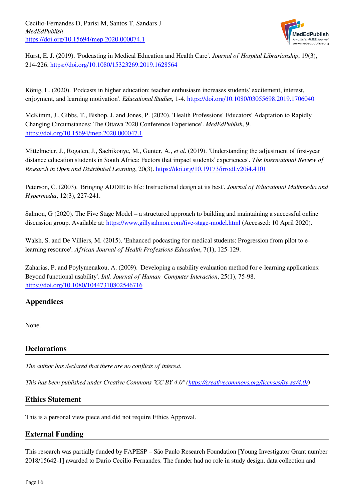Cecilio-Fernandes D, Parisi M, Santos T, Sandars J *MedEdPublish* <https://doi.org/10.15694/mep.2020.000074.1>



Hurst, E. J. (2019). 'Podcasting in Medical Education and Health Care'. *Journal of Hospital Librarianship*, 19(3), 214-226. <https://doi.org/10.1080/15323269.2019.1628564>

König, L. (2020). 'Podcasts in higher education: teacher enthusiasm increases students' excitement, interest, enjoyment, and learning motivation'. *Educational Studies*, 1-4. <https://doi.org/10.1080/03055698.2019.1706040>

McKimm, J., Gibbs, T., Bishop, J. and Jones, P. (2020). 'Health Professions' Educators' Adaptation to Rapidly Changing Circumstances: The Ottawa 2020 Conference Experience'. *MedEdPublish*, 9. <https://doi.org/10.15694/mep.2020.000047.1>

Mittelmeier, J., Rogaten, J., Sachikonye, M., Gunter, A., *et al*. (2019). 'Understanding the adjustment of first-year distance education students in South Africa: Factors that impact students' experiences'. *The International Review of Research in Open and Distributed Learning*, 20(3).<https://doi.org/10.19173/irrodl.v20i4.4101>

Peterson, C. (2003). 'Bringing ADDIE to life: Instructional design at its best'. *Journal of Educational Multimedia and Hypermedia*, 12(3), 227-241.

Salmon, G (2020). The Five Stage Model – a structured approach to building and maintaining a successful online discussion group. Available at: <https://www.gillysalmon.com/five-stage-model.html> (Accessed: 10 April 2020).

Walsh, S. and De Villiers, M. (2015). 'Enhanced podcasting for medical students: Progression from pilot to elearning resource'. *African Journal of Health Professions Education*, 7(1), 125-129.

Zaharias, P. and Poylymenakou, A. (2009). 'Developing a usability evaluation method for e-learning applications: Beyond functional usability'. *Intl. Journal of Human–Computer Interaction*, 25(1), 75-98. <https://doi.org/10.1080/10447310802546716>

# **Appendices**

None.

#### **Declarations**

*The author has declared that there are no conflicts of interest.*

*This has been published under Creative Commons "CC BY 4.0" [\(https://creativecommons.org/licenses/by-sa/4.0/\)](https://creativecommons.org/licenses/by-sa/4.0/)*

#### **Ethics Statement**

This is a personal view piece and did not require Ethics Approval.

# **External Funding**

This research was partially funded by FAPESP – São Paulo Research Foundation [Young Investigator Grant number 2018/15642-1] awarded to Dario Cecilio-Fernandes. The funder had no role in study design, data collection and